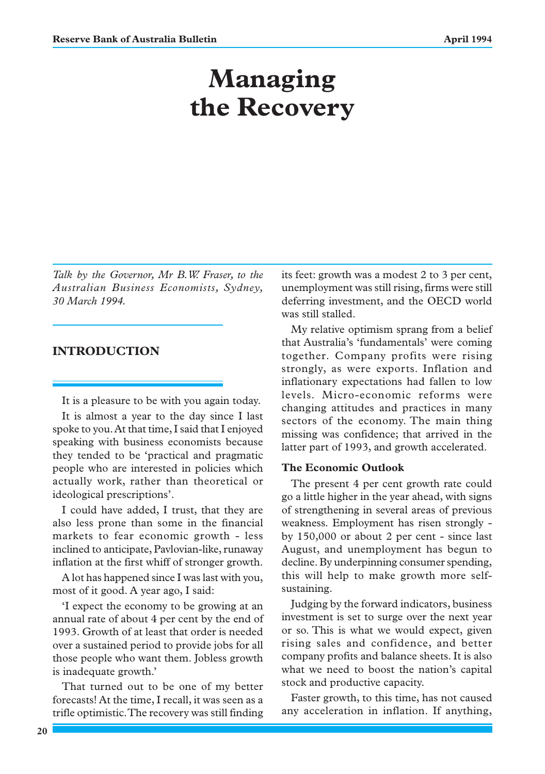# **Managing the Recovery**

*Talk by the Governor, Mr B.W. Fraser, to the Australian Business Economists, Sydney, 30 March 1994.*

# **INTRODUCTION**

It is a pleasure to be with you again today.

It is almost a year to the day since I last spoke to you. At that time, I said that I enjoyed speaking with business economists because they tended to be 'practical and pragmatic people who are interested in policies which actually work, rather than theoretical or ideological prescriptions'.

I could have added, I trust, that they are also less prone than some in the financial markets to fear economic growth - less inclined to anticipate, Pavlovian-like, runaway inflation at the first whiff of stronger growth.

A lot has happened since I was last with you, most of it good. A year ago, I said:

'I expect the economy to be growing at an annual rate of about 4 per cent by the end of 1993. Growth of at least that order is needed over a sustained period to provide jobs for all those people who want them. Jobless growth is inadequate growth.'

That turned out to be one of my better forecasts! At the time, I recall, it was seen as a trifle optimistic. The recovery was still finding its feet: growth was a modest 2 to 3 per cent, unemployment was still rising, firms were still deferring investment, and the OECD world was still stalled.

My relative optimism sprang from a belief that Australia's 'fundamentals' were coming together. Company profits were rising strongly, as were exports. Inflation and inflationary expectations had fallen to low levels. Micro-economic reforms were changing attitudes and practices in many sectors of the economy. The main thing missing was confidence; that arrived in the latter part of 1993, and growth accelerated.

# **The Economic Outlook**

The present 4 per cent growth rate could go a little higher in the year ahead, with signs of strengthening in several areas of previous weakness. Employment has risen strongly by 150,000 or about 2 per cent - since last August, and unemployment has begun to decline. By underpinning consumer spending, this will help to make growth more selfsustaining.

Judging by the forward indicators, business investment is set to surge over the next year or so. This is what we would expect, given rising sales and confidence, and better company profits and balance sheets. It is also what we need to boost the nation's capital stock and productive capacity.

Faster growth, to this time, has not caused any acceleration in inflation. If anything,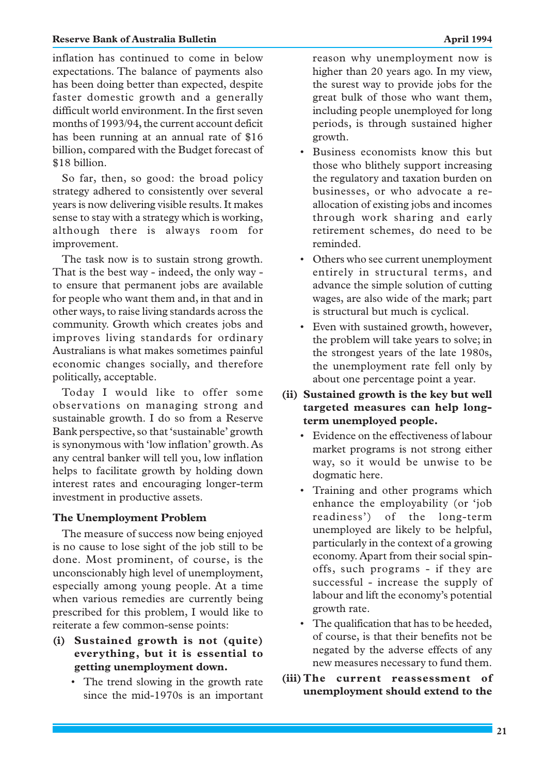#### **Reserve Bank of Australia Bulletin April 1994 April 1994**

inflation has continued to come in below expectations. The balance of payments also has been doing better than expected, despite faster domestic growth and a generally difficult world environment. In the first seven months of 1993/94, the current account deficit has been running at an annual rate of \$16 billion, compared with the Budget forecast of \$18 billion.

So far, then, so good: the broad policy strategy adhered to consistently over several years is now delivering visible results. It makes sense to stay with a strategy which is working, although there is always room for improvement.

The task now is to sustain strong growth. That is the best way - indeed, the only way to ensure that permanent jobs are available for people who want them and, in that and in other ways, to raise living standards across the community. Growth which creates jobs and improves living standards for ordinary Australians is what makes sometimes painful economic changes socially, and therefore politically, acceptable.

Today I would like to offer some observations on managing strong and sustainable growth. I do so from a Reserve Bank perspective, so that 'sustainable' growth is synonymous with 'low inflation' growth. As any central banker will tell you, low inflation helps to facilitate growth by holding down interest rates and encouraging longer-term investment in productive assets.

#### **The Unemployment Problem**

The measure of success now being enjoyed is no cause to lose sight of the job still to be done. Most prominent, of course, is the unconscionably high level of unemployment, especially among young people. At a time when various remedies are currently being prescribed for this problem, I would like to reiterate a few common-sense points:

- **(i) Sustained growth is not (quite) everything, but it is essential to getting unemployment down.**
	- The trend slowing in the growth rate since the mid-1970s is an important

reason why unemployment now is higher than 20 years ago. In my view, the surest way to provide jobs for the great bulk of those who want them, including people unemployed for long periods, is through sustained higher growth.

- Business economists know this but those who blithely support increasing the regulatory and taxation burden on businesses, or who advocate a reallocation of existing jobs and incomes through work sharing and early retirement schemes, do need to be reminded.
- Others who see current unemployment entirely in structural terms, and advance the simple solution of cutting wages, are also wide of the mark; part is structural but much is cyclical.
- Even with sustained growth, however, the problem will take years to solve; in the strongest years of the late 1980s, the unemployment rate fell only by about one percentage point a year.
- **(ii) Sustained growth is the key but well targeted measures can help longterm unemployed people.**
	- Evidence on the effectiveness of labour market programs is not strong either way, so it would be unwise to be dogmatic here.
	- Training and other programs which enhance the employability (or 'job readiness') of the long-term unemployed are likely to be helpful, particularly in the context of a growing economy. Apart from their social spinoffs, such programs - if they are successful - increase the supply of labour and lift the economy's potential growth rate.
	- The qualification that has to be heeded, of course, is that their benefits not be negated by the adverse effects of any new measures necessary to fund them.
- **(iii) The current reassessment of unemployment should extend to the**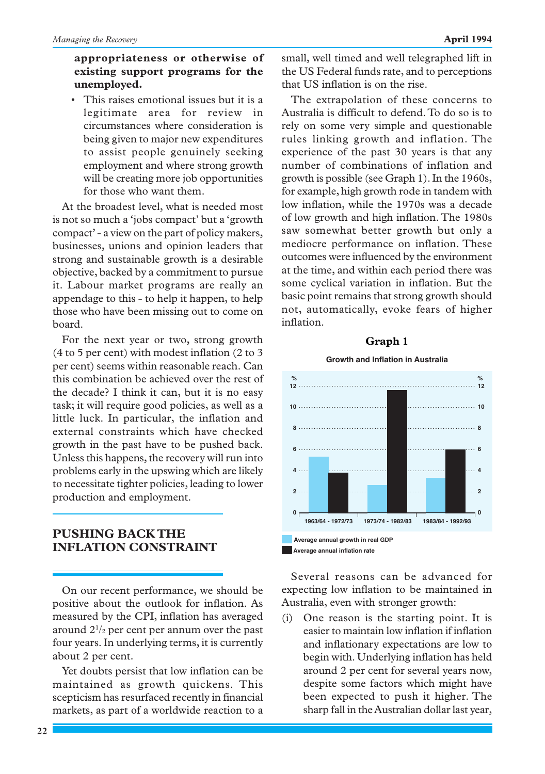# **appropriateness or otherwise of existing support programs for the unemployed.**

• This raises emotional issues but it is a legitimate area for review in circumstances where consideration is being given to major new expenditures to assist people genuinely seeking employment and where strong growth will be creating more job opportunities for those who want them.

At the broadest level, what is needed most is not so much a 'jobs compact' but a 'growth compact' - a view on the part of policy makers, businesses, unions and opinion leaders that strong and sustainable growth is a desirable objective, backed by a commitment to pursue it. Labour market programs are really an appendage to this - to help it happen, to help those who have been missing out to come on board.

For the next year or two, strong growth (4 to 5 per cent) with modest inflation (2 to 3 per cent) seems within reasonable reach. Can this combination be achieved over the rest of the decade? I think it can, but it is no easy task; it will require good policies, as well as a little luck. In particular, the inflation and external constraints which have checked growth in the past have to be pushed back. Unless this happens, the recovery will run into problems early in the upswing which are likely to necessitate tighter policies, leading to lower production and employment.

# **PUSHING BACK THE INFLATION CONSTRAINT**

On our recent performance, we should be positive about the outlook for inflation. As measured by the CPI, inflation has averaged around 21 /2 per cent per annum over the past four years. In underlying terms, it is currently about 2 per cent.

Yet doubts persist that low inflation can be maintained as growth quickens. This scepticism has resurfaced recently in financial markets, as part of a worldwide reaction to a small, well timed and well telegraphed lift in the US Federal funds rate, and to perceptions that US inflation is on the rise.

The extrapolation of these concerns to Australia is difficult to defend. To do so is to rely on some very simple and questionable rules linking growth and inflation. The experience of the past 30 years is that any number of combinations of inflation and growth is possible (see Graph 1). In the 1960s, for example, high growth rode in tandem with low inflation, while the 1970s was a decade of low growth and high inflation. The 1980s saw somewhat better growth but only a mediocre performance on inflation. These outcomes were influenced by the environment at the time, and within each period there was some cyclical variation in inflation. But the basic point remains that strong growth should not, automatically, evoke fears of higher inflation.

# **Graph 1**

#### **Growth and Inflation in Australia**



Several reasons can be advanced for expecting low inflation to be maintained in Australia, even with stronger growth:

(i) One reason is the starting point. It is easier to maintain low inflation if inflation and inflationary expectations are low to begin with. Underlying inflation has held around 2 per cent for several years now, despite some factors which might have been expected to push it higher. The sharp fall in the Australian dollar last year,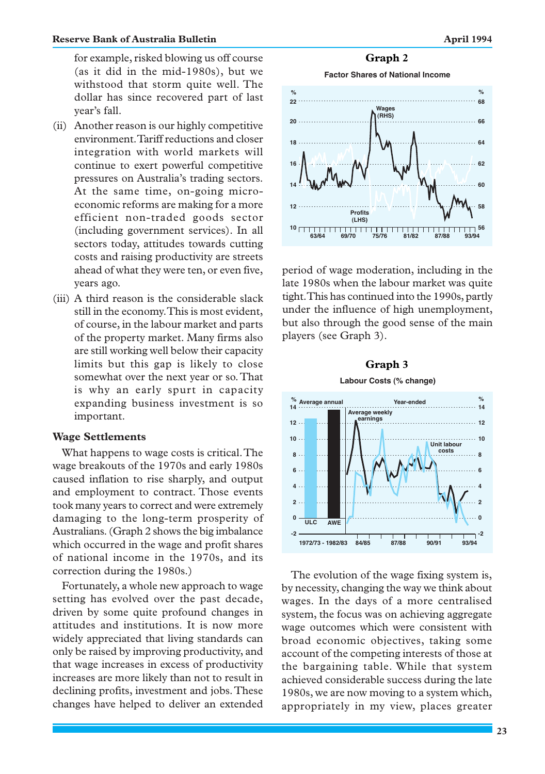for example, risked blowing us off course (as it did in the mid-1980s), but we withstood that storm quite well. The dollar has since recovered part of last year's fall.

- (ii) Another reason is our highly competitive environment. Tariff reductions and closer integration with world markets will continue to exert powerful competitive pressures on Australia's trading sectors. At the same time, on-going microeconomic reforms are making for a more efficient non-traded goods sector (including government services). In all sectors today, attitudes towards cutting costs and raising productivity are streets ahead of what they were ten, or even five, years ago.
- (iii) A third reason is the considerable slack still in the economy. This is most evident, of course, in the labour market and parts of the property market. Many firms also are still working well below their capacity limits but this gap is likely to close somewhat over the next year or so. That is why an early spurt in capacity expanding business investment is so important.

# **Wage Settlements**

What happens to wage costs is critical. The wage breakouts of the 1970s and early 1980s caused inflation to rise sharply, and output and employment to contract. Those events took many years to correct and were extremely damaging to the long-term prosperity of Australians. (Graph 2 shows the big imbalance which occurred in the wage and profit shares of national income in the 1970s, and its correction during the 1980s.)

Fortunately, a whole new approach to wage setting has evolved over the past decade, driven by some quite profound changes in attitudes and institutions. It is now more widely appreciated that living standards can only be raised by improving productivity, and that wage increases in excess of productivity increases are more likely than not to result in declining profits, investment and jobs. These changes have helped to deliver an extended **Factor Shares of National Income**



period of wage moderation, including in the late 1980s when the labour market was quite tight. This has continued into the 1990s, partly under the influence of high unemployment, but also through the good sense of the main players (see Graph 3).

#### **Graph 3**



The evolution of the wage fixing system is, by necessity, changing the way we think about wages. In the days of a more centralised system, the focus was on achieving aggregate wage outcomes which were consistent with broad economic objectives, taking some account of the competing interests of those at the bargaining table. While that system achieved considerable success during the late 1980s, we are now moving to a system which, appropriately in my view, places greater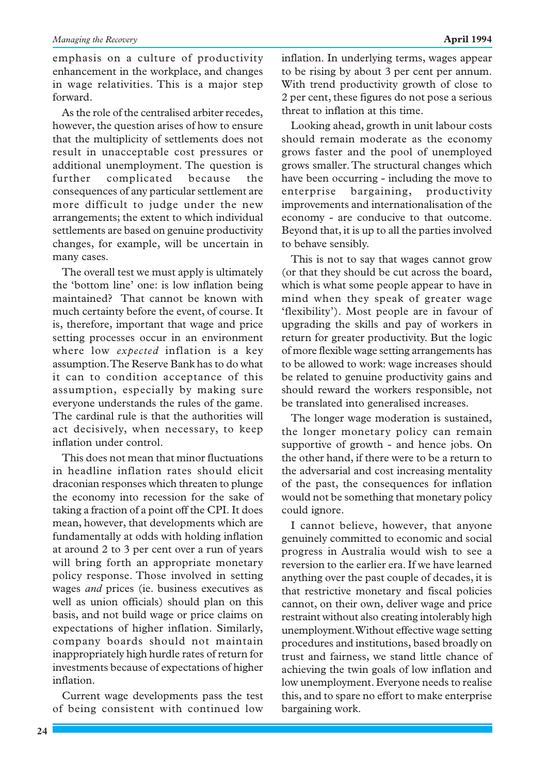emphasis on a culture of productivity enhancement in the workplace, and changes in wage relativities. This is a major step forward.

As the role of the centralised arbiter recedes, however, the question arises of how to ensure that the multiplicity of settlements does not result in unacceptable cost pressures or additional unemployment. The question is further complicated because the consequences of any particular settlement are more difficult to judge under the new arrangements; the extent to which individual settlements are based on genuine productivity changes, for example, will be uncertain in many cases.

The overall test we must apply is ultimately the 'bottom line' one: is low inflation being maintained? That cannot be known with much certainty before the event, of course. It is, therefore, important that wage and price setting processes occur in an environment where low *expected* inflation is a key assumption. The Reserve Bank has to do what it can to condition acceptance of this assumption, especially by making sure everyone understands the rules of the game. The cardinal rule is that the authorities will act decisively, when necessary, to keep inflation under control.

This does not mean that minor fluctuations in headline inflation rates should elicit draconian responses which threaten to plunge the economy into recession for the sake of taking a fraction of a point off the CPI. It does mean, however, that developments which are fundamentally at odds with holding inflation at around 2 to 3 per cent over a run of years will bring forth an appropriate monetary policy response. Those involved in setting wages *and* prices (ie. business executives as well as union officials) should plan on this basis, and not build wage or price claims on expectations of higher inflation. Similarly, company boards should not maintain inappropriately high hurdle rates of return for investments because of expectations of higher inflation.

Current wage developments pass the test of being consistent with continued low

inflation. In underlying terms, wages appear to be rising by about 3 per cent per annum. With trend productivity growth of close to 2 per cent, these figures do not pose a serious threat to inflation at this time.

Looking ahead, growth in unit labour costs should remain moderate as the economy grows faster and the pool of unemployed grows smaller. The structural changes which have been occurring - including the move to enterprise bargaining, productivity improvements and internationalisation of the economy - are conducive to that outcome. Beyond that, it is up to all the parties involved to behave sensibly.

This is not to say that wages cannot grow (or that they should be cut across the board, which is what some people appear to have in mind when they speak of greater wage 'flexibility'). Most people are in favour of upgrading the skills and pay of workers in return for greater productivity. But the logic of more flexible wage setting arrangements has to be allowed to work: wage increases should be related to genuine productivity gains and should reward the workers responsible, not be translated into generalised increases.

The longer wage moderation is sustained, the longer monetary policy can remain supportive of growth - and hence jobs. On the other hand, if there were to be a return to the adversarial and cost increasing mentality of the past, the consequences for inflation would not be something that monetary policy could ignore.

I cannot believe, however, that anyone genuinely committed to economic and social progress in Australia would wish to see a reversion to the earlier era. If we have learned anything over the past couple of decades, it is that restrictive monetary and fiscal policies cannot, on their own, deliver wage and price restraint without also creating intolerably high unemployment. Without effective wage setting procedures and institutions, based broadly on trust and fairness, we stand little chance of achieving the twin goals of low inflation and low unemployment. Everyone needs to realise this, and to spare no effort to make enterprise bargaining work.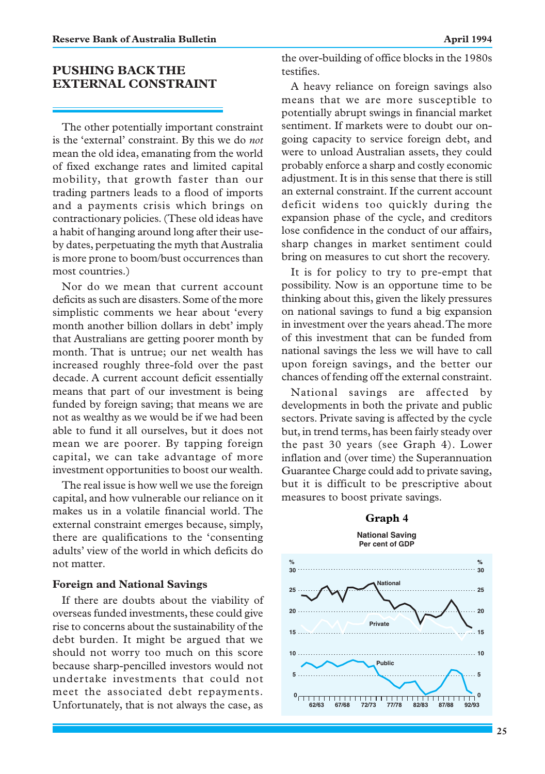# **PUSHING BACK THE EXTERNAL CONSTRAINT**

The other potentially important constraint is the 'external' constraint. By this we do *not* mean the old idea, emanating from the world of fixed exchange rates and limited capital mobility, that growth faster than our trading partners leads to a flood of imports and a payments crisis which brings on contractionary policies. (These old ideas have a habit of hanging around long after their useby dates, perpetuating the myth that Australia is more prone to boom/bust occurrences than most countries.)

Nor do we mean that current account deficits as such are disasters. Some of the more simplistic comments we hear about 'every month another billion dollars in debt' imply that Australians are getting poorer month by month. That is untrue; our net wealth has increased roughly three-fold over the past decade. A current account deficit essentially means that part of our investment is being funded by foreign saving; that means we are not as wealthy as we would be if we had been able to fund it all ourselves, but it does not mean we are poorer. By tapping foreign capital, we can take advantage of more investment opportunities to boost our wealth.

The real issue is how well we use the foreign capital, and how vulnerable our reliance on it makes us in a volatile financial world. The external constraint emerges because, simply, there are qualifications to the 'consenting adults' view of the world in which deficits do not matter.

#### **Foreign and National Savings**

If there are doubts about the viability of overseas funded investments, these could give rise to concerns about the sustainability of the debt burden. It might be argued that we should not worry too much on this score because sharp-pencilled investors would not undertake investments that could not meet the associated debt repayments. Unfortunately, that is not always the case, as

the over-building of office blocks in the 1980s testifies.

A heavy reliance on foreign savings also means that we are more susceptible to potentially abrupt swings in financial market sentiment. If markets were to doubt our ongoing capacity to service foreign debt, and were to unload Australian assets, they could probably enforce a sharp and costly economic adjustment. It is in this sense that there is still an external constraint. If the current account deficit widens too quickly during the expansion phase of the cycle, and creditors lose confidence in the conduct of our affairs, sharp changes in market sentiment could bring on measures to cut short the recovery.

It is for policy to try to pre-empt that possibility. Now is an opportune time to be thinking about this, given the likely pressures on national savings to fund a big expansion in investment over the years ahead. The more of this investment that can be funded from national savings the less we will have to call upon foreign savings, and the better our chances of fending off the external constraint.

National savings are affected by developments in both the private and public sectors. Private saving is affected by the cycle but, in trend terms, has been fairly steady over the past 30 years (see Graph 4). Lower inflation and (over time) the Superannuation Guarantee Charge could add to private saving, but it is difficult to be prescriptive about measures to boost private savings.

#### **Graph 4**

**National Saving Per cent of GDP**

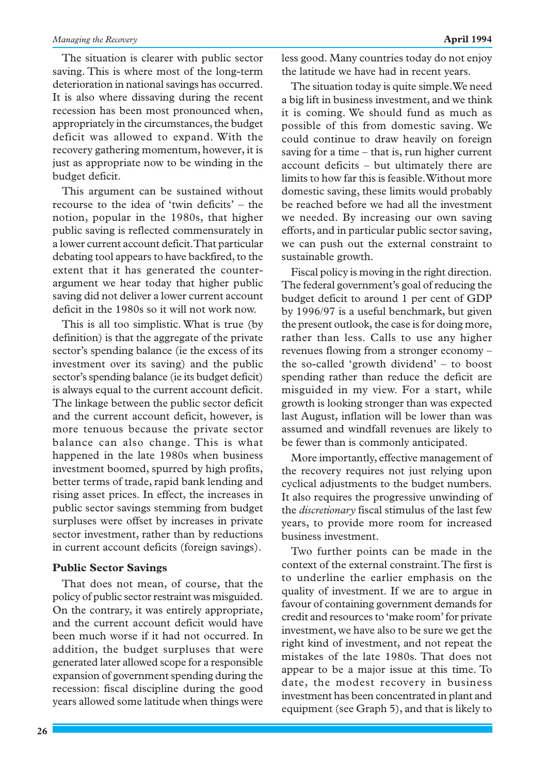The situation is clearer with public sector saving. This is where most of the long-term deterioration in national savings has occurred. It is also where dissaving during the recent recession has been most pronounced when, appropriately in the circumstances, the budget deficit was allowed to expand. With the recovery gathering momentum, however, it is just as appropriate now to be winding in the budget deficit.

This argument can be sustained without recourse to the idea of 'twin deficits' – the notion, popular in the 1980s, that higher public saving is reflected commensurately in a lower current account deficit. That particular debating tool appears to have backfired, to the extent that it has generated the counterargument we hear today that higher public saving did not deliver a lower current account deficit in the 1980s so it will not work now.

This is all too simplistic. What is true (by definition) is that the aggregate of the private sector's spending balance (ie the excess of its investment over its saving) and the public sector's spending balance (ie its budget deficit) is always equal to the current account deficit. The linkage between the public sector deficit and the current account deficit, however, is more tenuous because the private sector balance can also change. This is what happened in the late 1980s when business investment boomed, spurred by high profits, better terms of trade, rapid bank lending and rising asset prices. In effect, the increases in public sector savings stemming from budget surpluses were offset by increases in private sector investment, rather than by reductions in current account deficits (foreign savings).

### **Public Sector Savings**

That does not mean, of course, that the policy of public sector restraint was misguided. On the contrary, it was entirely appropriate, and the current account deficit would have been much worse if it had not occurred. In addition, the budget surpluses that were generated later allowed scope for a responsible expansion of government spending during the recession: fiscal discipline during the good years allowed some latitude when things were less good. Many countries today do not enjoy the latitude we have had in recent years.

The situation today is quite simple. We need a big lift in business investment, and we think it is coming. We should fund as much as possible of this from domestic saving. We could continue to draw heavily on foreign saving for a time – that is, run higher current account deficits – but ultimately there are limits to how far this is feasible. Without more domestic saving, these limits would probably be reached before we had all the investment we needed. By increasing our own saving efforts, and in particular public sector saving, we can push out the external constraint to sustainable growth.

Fiscal policy is moving in the right direction. The federal government's goal of reducing the budget deficit to around 1 per cent of GDP by 1996/97 is a useful benchmark, but given the present outlook, the case is for doing more, rather than less. Calls to use any higher revenues flowing from a stronger economy – the so-called 'growth dividend' – to boost spending rather than reduce the deficit are misguided in my view. For a start, while growth is looking stronger than was expected last August, inflation will be lower than was assumed and windfall revenues are likely to be fewer than is commonly anticipated.

More importantly, effective management of the recovery requires not just relying upon cyclical adjustments to the budget numbers. It also requires the progressive unwinding of the *discretionary* fiscal stimulus of the last few years, to provide more room for increased business investment.

Two further points can be made in the context of the external constraint. The first is to underline the earlier emphasis on the quality of investment. If we are to argue in favour of containing government demands for credit and resources to 'make room' for private investment, we have also to be sure we get the right kind of investment, and not repeat the mistakes of the late 1980s. That does not appear to be a major issue at this time. To date, the modest recovery in business investment has been concentrated in plant and equipment (see Graph 5), and that is likely to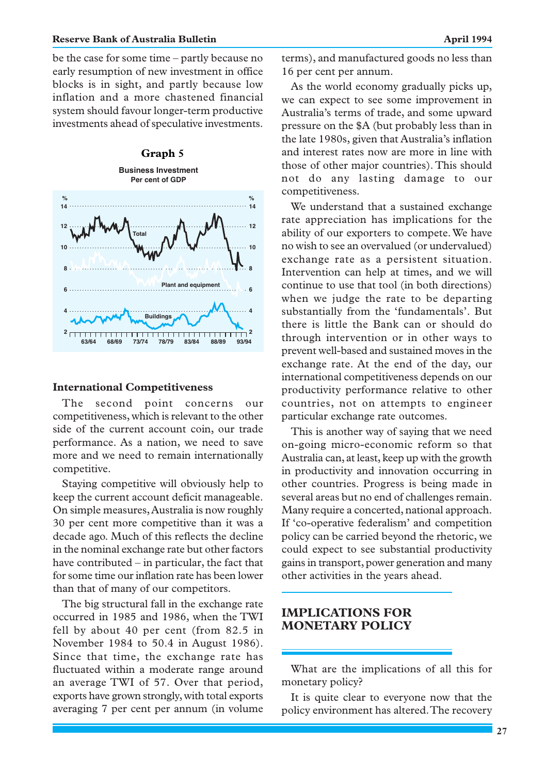#### **Reserve Bank of Australia Bulletin April 1994 April 1994**

be the case for some time – partly because no early resumption of new investment in office blocks is in sight, and partly because low inflation and a more chastened financial system should favour longer-term productive investments ahead of speculative investments.



#### **International Competitiveness**

The second point concerns our competitiveness, which is relevant to the other side of the current account coin, our trade performance. As a nation, we need to save more and we need to remain internationally competitive.

Staying competitive will obviously help to keep the current account deficit manageable. On simple measures, Australia is now roughly 30 per cent more competitive than it was a decade ago. Much of this reflects the decline in the nominal exchange rate but other factors have contributed – in particular, the fact that for some time our inflation rate has been lower than that of many of our competitors.

The big structural fall in the exchange rate occurred in 1985 and 1986, when the TWI fell by about 40 per cent (from 82.5 in November 1984 to 50.4 in August 1986). Since that time, the exchange rate has fluctuated within a moderate range around an average TWI of 57. Over that period, exports have grown strongly, with total exports averaging 7 per cent per annum (in volume terms), and manufactured goods no less than 16 per cent per annum.

As the world economy gradually picks up, we can expect to see some improvement in Australia's terms of trade, and some upward pressure on the \$A (but probably less than in the late 1980s, given that Australia's inflation and interest rates now are more in line with those of other major countries). This should not do any lasting damage to our competitiveness.

We understand that a sustained exchange rate appreciation has implications for the ability of our exporters to compete. We have no wish to see an overvalued (or undervalued) exchange rate as a persistent situation. Intervention can help at times, and we will continue to use that tool (in both directions) when we judge the rate to be departing substantially from the 'fundamentals'. But there is little the Bank can or should do through intervention or in other ways to prevent well-based and sustained moves in the exchange rate. At the end of the day, our international competitiveness depends on our productivity performance relative to other countries, not on attempts to engineer particular exchange rate outcomes.

This is another way of saying that we need on-going micro-economic reform so that Australia can, at least, keep up with the growth in productivity and innovation occurring in other countries. Progress is being made in several areas but no end of challenges remain. Many require a concerted, national approach. If 'co-operative federalism' and competition policy can be carried beyond the rhetoric, we could expect to see substantial productivity gains in transport, power generation and many other activities in the years ahead.

# **IMPLICATIONS FOR MONETARY POLICY**

What are the implications of all this for monetary policy?

It is quite clear to everyone now that the policy environment has altered. The recovery